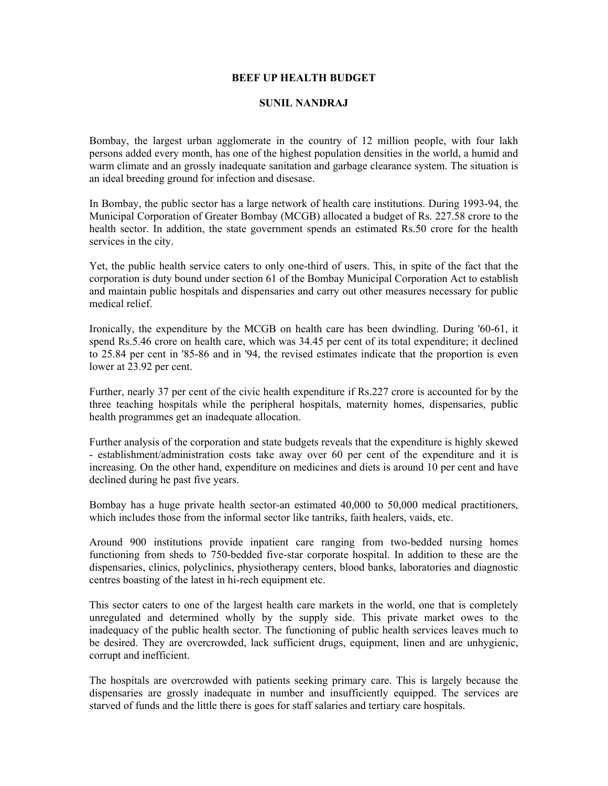## **BEEF UP HEALTH BUDGET**

## **SUNIL NANDRAJ**

Bombay, the largest urban agglomerate in the country of 12 million people, with four lakh persons added every month, has one of the highest population densities in the world, a humid and warm climate and an grossly inadequate sanitation and garbage clearance system. The situation is an ideal breeding ground for infection and disesase.

In Bombay, the public sector has a large network of health care institutions. During 1993-94, the Municipal Corporation of Greater Bombay (MCGB) allocated a budget of Rs. 227.58 crore to the health sector. In addition, the state government spends an estimated Rs.50 crore for the health services in the city.

Yet, the public health service caters to only one-third of users. This, in spite of the fact that the corporation is duty bound under section 61 of the Bombay Municipal Corporation Act to establish and maintain public hospitals and dispensaries and carry out other measures necessary for public medical relief.

Ironically, the expenditure by the MCGB on health care has been dwindling. During '60-61, it spend Rs.5.46 crore on health care, which was 34.45 per cent of its total expenditure; it declined to 25.84 per cent in '85-86 and in '94, the revised estimates indicate that the proportion is even lower at 23.92 per cent.

Further, nearly 37 per cent of the civic health expenditure if Rs.227 crore is accounted for by the three teaching hospitals while the peripheral hospitals, maternity homes, dispensaries, public health programmes get an inadequate allocation.

Further analysis of the corporation and state budgets reveals that the expenditure is highly skewed - establishment/administration costs take away over 60 per cent of the expenditure and it is increasing. On the other hand, expenditure on medicines and diets is around 10 per cent and have declined during he past five years.

Bombay has a huge private health sector-an estimated 40,000 to 50,000 medical practitioners, which includes those from the informal sector like tantriks, faith healers, vaids, etc.

Around 900 institutions provide inpatient care ranging from two-bedded nursing homes functioning from sheds to 750-bedded five-star corporate hospital. In addition to these are the dispensaries, clinics, polyclinics, physiotherapy centers, blood banks, laboratories and diagnostic centres boasting of the latest in hi-rech equipment etc.

This sector caters to one of the largest health care markets in the world, one that is completely unregulated and determined wholly by the supply side. This private market owes to the inadequacy of the public health sector. The functioning of public health services leaves much to be desired. They are overcrowded, lack sufficient drugs, equipment, linen and are unhygienic, corrupt and inefficient.

The hospitals are overcrowded with patients seeking primary care. This is largely because the dispensaries are grossly inadequate in number and insufficiently equipped. The services are starved of funds and the little there is goes for staff salaries and tertiary care hospitals.